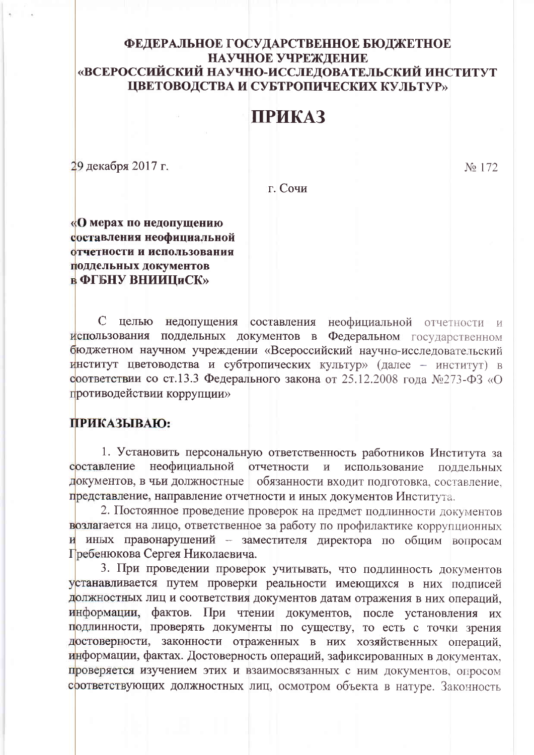## ФЕДЕРАЛЬНОЕ ГОСУДАРСТВЕННОЕ БЮДЖЕТНОЕ НАУЧНОЕ УЧРЕЖДЕНИЕ «ВСЕРОССИЙСКИЙ НАУЧНО-ИССЛЕДОВАТЕЛЬСКИЙ ИНСТИТУТ ЦВЕТОВОДСТВА И СУБТРОПИЧЕСКИХ КУЛЬТУР»

## **ПРИКАЗ**

29 декабря 2017 г.

No 172

г. Сочи

«О мерах по недопущению составления неофициальной отчетности и использования поддельных документов **в ФГБНУ ВНИИЦиСК»** 

 $\mathcal{C}$ целью недопущения составления неофициальной отчетности и использования поддельных документов в Федеральном государственном бюджетном научном учреждении «Всероссийский научно-исследовательский институт цветоводства и субтропических культур» (далее - институт) в соответствии со ст.13.3 Федерального закона от 25.12.2008 года №273-ФЗ «О противодействии коррупции»

## ПРИКАЗЫВАЮ:

1. Установить персональную ответственность работников Института за неофициальной составление отчетности использование  $\overline{\mathbf{M}}$ поддельных документов, в чьи должностные обязанности входит подготовка, составление, представление, направление отчетности и иных документов Института.

2. Постоянное проведение проверок на предмет подлинности документов возлагается на лицо, ответственное за работу по профилактике коррупционных и иных правонарушений - заместителя директора по общим вопросам Гребенюкова Сергея Николаевича.

3. При проведении проверок учитывать, что подлинность документов устанавливается путем проверки реальности имеющихся в них подписей должностных лиц и соответствия документов датам отражения в них операций, информации, фактов. При чтении документов, после установления их подлинности, проверять документы по существу, то есть с точки зрения достоверности, законности отраженных в них хозяйственных операций, информации, фактах. Достоверность операций, зафиксированных в документах, проверяется изучением этих и взаимосвязанных с ним документов, опросом срответствующих должностных лиц, осмотром объекта в натуре. Законность